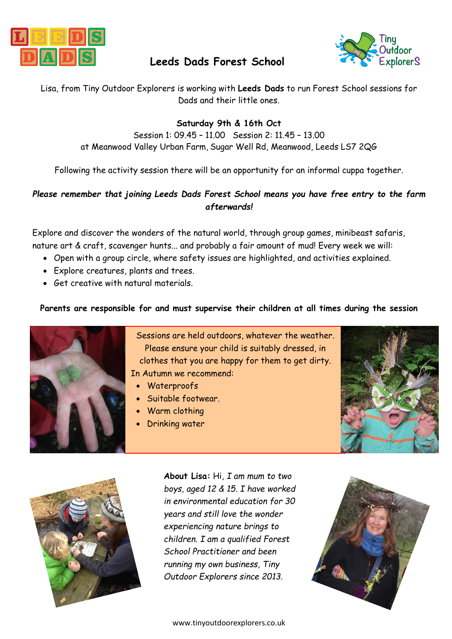

# **Leeds Dads Forest School**



Lisa, from Tiny Outdoor Explorers is working with **Leeds Dads** to run Forest School sessions for Dads and their little ones.

### **Saturday 9th & 16th Oct**

Session 1: 09.45 – 11.00 Session 2: 11.45 – 13.00 at Meanwood Valley Urban Farm, Sugar Well Rd, Meanwood, Leeds LS7 2QG

Following the activity session there will be an opportunity for an informal cuppa together.

## *Please remember that joining Leeds Dads Forest School means you have free entry to the farm afterwards!*

Explore and discover the wonders of the natural world, through group games, minibeast safaris, nature art & craft, scavenger hunts... and probably a fair amount of mud! Every week we will:

- Open with a group circle, where safety issues are highlighted, and activities explained.
- Explore creatures, plants and trees.
- Get creative with natural materials.

### **Parents are responsible for and must supervise their children at all times during the session**



Sessions are held outdoors, whatever the weather. Please ensure your child is suitably dressed, in clothes that you are happy for them to get dirty. In Autumn we recommend:

- Waterproofs
- Suitable footwear.
- Warm clothing
- Drinking water





**About Lisa:** Hi, *I am mum to two boys, aged 12 & 15. I have worked in environmental education for 30 years and still love the wonder experiencing nature brings to children. I am a qualified Forest School Practitioner and been running my own business, Tiny Outdoor Explorers since 2013.*